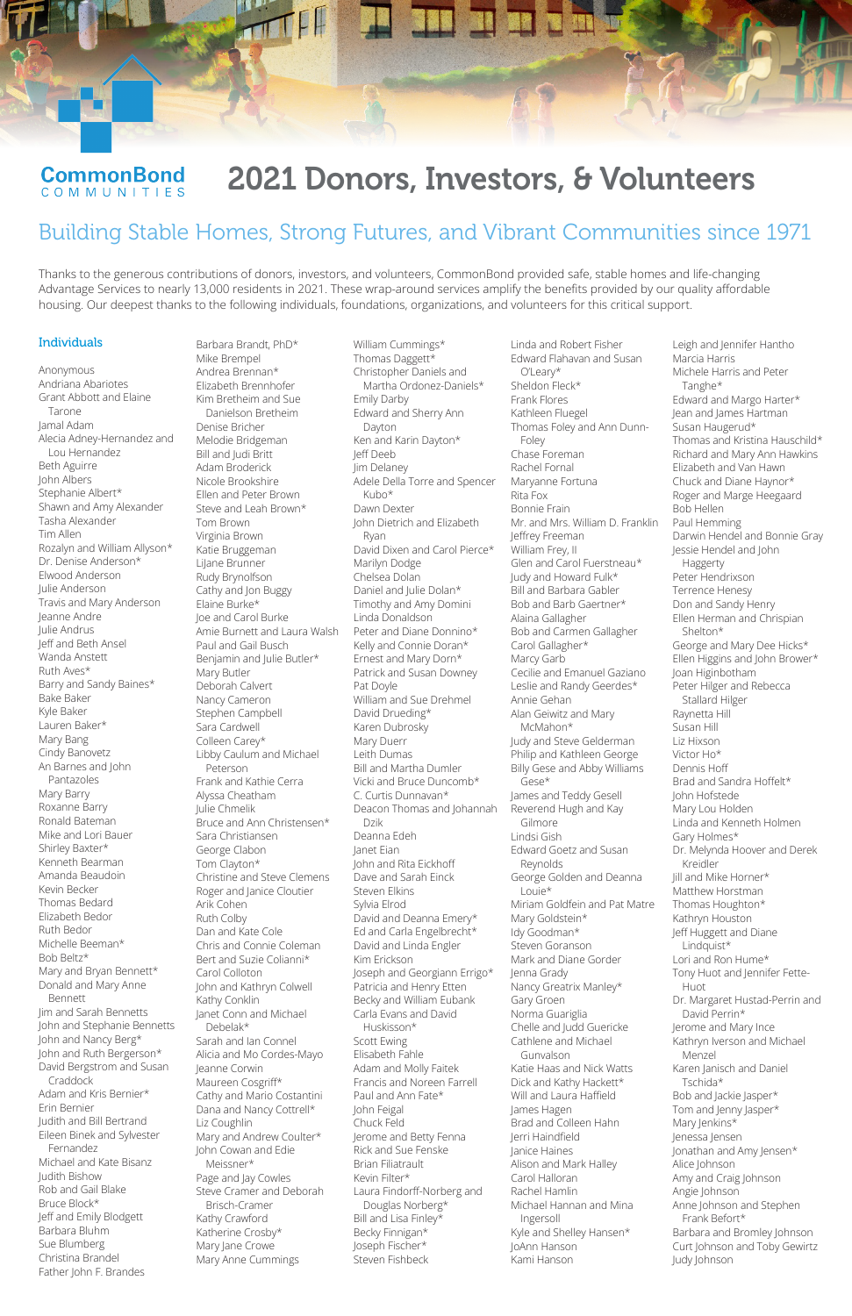

#### **CommonBond** 2021 Donors, Investors, & Volunteers COMMUNITIES

# Building Stable Homes, Strong Futures, and Vibrant Communities since 1971

Barbara Brandt, PhD\*

Mike Brempel Andrea Brennan\* Elizabeth Brennhofer Kim Bretheim and Sue Danielson Bretheim Denise Bricher Melodie Bridgeman Bill and Judi Britt Adam Broderick Nicole Brookshire Ellen and Peter Brown Steve and Leah Brown\* Tom Brown Virginia Brown Katie Bruggeman LiJane Brunner Rudy Brynolfson Cathy and Jon Buggy Elaine Burke\* Joe and Carol Burke Amie Burnett and Laura Walsh Paul and Gail Busch Benjamin and Julie Butler\* Mary Butler Deborah Calvert Nancy Cameron Stephen Campbell Sara Cardwell Colleen Carey\* Libby Caulum and Michael Peterson Frank and Kathie Cerra Alyssa Cheatham Julie Chmelik Bruce and Ann Christensen\* Sara Christiansen George Clabon Tom Clayton\* Christine and Steve Clemens Roger and Janice Cloutier Arik Cohen Ruth Colby Dan and Kate Cole Chris and Connie Coleman Bert and Suzie Colianni\* Carol Colloton John and Kathryn Colwell Kathy Conklin Janet Conn and Michael Debelak\* Sarah and Ian Connel Alicia and Mo Cordes-Mayo Jeanne Corwin Maureen Cosgriff\* Cathy and Mario Costantini Dana and Nancy Cottrell\* Liz Coughlin Mary and Andrew Coulter\* John Cowan and Edie Meissner\* Page and Jay Cowles Steve Cramer and Deborah Brisch-Cramer Kathy Crawford Katherine Crosby\* Mary Jane Crowe Mary Anne Cummings

## Individuals

Anonymous Andriana Abariotes Grant Abbott and Elaine Tarone Jamal Adam Alecia Adney-Hernandez and Lou Hernandez Beth Aguirre John Albers Stephanie Albert\* Shawn and Amy Alexander Tasha Alexander Tim Allen Rozalyn and William Allyson\* Dr. Denise Anderson\* Elwood Anderson Julie Anderson Travis and Mary Anderson Jeanne Andre Julie Andrus Jeff and Beth Ansel Wanda Anstett Ruth Aves\* Barry and Sandy Baines\* Bake Baker Kyle Baker Lauren Baker\* Mary Bang Cindy Banovetz An Barnes and John Pantazoles Mary Barry Roxanne Barry Ronald Bateman Mike and Lori Bauer Shirley Baxter\* Kenneth Bearman Amanda Beaudoin Kevin Becker Thomas Bedard Elizabeth Bedor Ruth Bedor Michelle Beeman\* Bob Beltz\* Mary and Bryan Bennett\* Donald and Mary Anne Bennett Jim and Sarah Bennetts John and Stephanie Bennetts John and Nancy Berg\* John and Ruth Bergerson\* David Bergstrom and Susan Craddock Adam and Kris Bernier\* Erin Bernier Judith and Bill Bertrand Eileen Binek and Sylvester Fernandez Michael and Kate Bisanz Judith Bishow Rob and Gail Blake Bruce Block\* Jeff and Emily Blodgett

Barbara Bluhm Sue Blumberg Christina Brandel Father John F. Brandes William Cummings\* Thomas Daggett\* Christopher Daniels and Martha Ordonez-Daniels\* Emily Darby Edward and Sherry Ann Dayton Ken and Karin Dayton\* Jeff Deeb Jim Delaney Adele Della Torre and Spencer Kubo\* Dawn Dexter John Dietrich and Elizabeth Ryan David Dixen and Carol Pierce\* Marilyn Dodge Chelsea Dolan Daniel and Julie Dolan\* Timothy and Amy Domini Linda Donaldson Peter and Diane Donnino\* Kelly and Connie Doran\* Ernest and Mary Dorn\* Patrick and Susan Downey Pat Doyle William and Sue Drehmel David Drueding\* Karen Dubrosky Mary Duerr Leith Dumas Bill and Martha Dumler Vicki and Bruce Duncomb\* C. Curtis Dunnavan\* Deacon Thomas and Johannah Dzik Deanna Edeh Janet Eian John and Rita Eickhoff Dave and Sarah Einck Steven Elkins Sylvia Elrod David and Deanna Emery\* Ed and Carla Engelbrecht\* David and Linda Engler Kim Erickson Joseph and Georgiann Errigo\* Patricia and Henry Etten Becky and William Eubank Carla Evans and David Huskisson\* Scott Ewing Elisabeth Fahle Adam and Molly Faitek Francis and Noreen Farrell Paul and Ann Fate\* John Feigal Chuck Feld Jerome and Betty Fenna Rick and Sue Fenske Brian Filiatrault Kevin Filter\* Laura Findorff-Norberg and Douglas Norberg\* Bill and Lisa Finley\* Becky Finnigan\* Joseph Fischer\* Steven Fishbeck

Linda and Robert Fisher Edward Flahavan and Susan O'Leary\* Sheldon Fleck\* Frank Flores Kathleen Fluegel Thomas Foley and Ann Dunn-Foley Chase Foreman Rachel Fornal Maryanne Fortuna Rita Fox Bonnie Frain Mr. and Mrs. William D. Franklin Jeffrey Freeman William Frey, II Glen and Carol Fuerstneau\* Judy and Howard Fulk\* Bill and Barbara Gabler Bob and Barb Gaertner\* Alaina Gallagher Bob and Carmen Gallagher Carol Gallagher\* Marcy Garb Cecilie and Emanuel Gaziano Leslie and Randy Geerdes\* Annie Gehan Alan Geiwitz and Mary McMahon\* Judy and Steve Gelderman Philip and Kathleen George Billy Gese and Abby Williams Gese\* James and Teddy Gesell Reverend Hugh and Kay Gilmore Lindsi Gish Edward Goetz and Susan Reynolds George Golden and Deanna Louie\* Miriam Goldfein and Pat Matre Mary Goldstein\* Idy Goodman\* Steven Goranson Mark and Diane Gorder Jenna Grady Nancy Greatrix Manley\* Gary Groen Norma Guariglia Chelle and Judd Guericke Cathlene and Michael Gunvalson Katie Haas and Nick Watts Dick and Kathy Hackett\* Will and Laura Haffield James Hagen Brad and Colleen Hahn Jerri Haindfield Janice Haines Alison and Mark Halley Carol Halloran Rachel Hamlin Michael Hannan and Mina Ingersoll Kyle and Shelley Hansen\* JoAnn Hanson Kami Hanson

Thanks to the generous contributions of donors, investors, and volunteers, CommonBond provided safe, stable homes and life-changing Advantage Services to nearly 13,000 residents in 2021. These wrap-around services amplify the benefits provided by our quality affordable housing. Our deepest thanks to the following individuals, foundations, organizations, and volunteers for this critical support.

> Leigh and Jennifer Hantho Marcia Harris Michele Harris and Peter Tanghe\* Edward and Margo Harter\* Jean and James Hartman Susan Haugerud\* Thomas and Kristina Hauschild\* Richard and Mary Ann Hawkins Elizabeth and Van Hawn Chuck and Diane Haynor\* Roger and Marge Heegaard Bob Hellen Paul Hemming Darwin Hendel and Bonnie Gray Jessie Hendel and John Haggerty Peter Hendrixson Terrence Henesy Don and Sandy Henry Ellen Herman and Chrispian Shelton\* George and Mary Dee Hicks\* Ellen Higgins and John Brower\* Joan Higinbotham Peter Hilger and Rebecca Stallard Hilger Raynetta Hill Susan Hill Liz Hixson Victor Ho\* Dennis Hoff Brad and Sandra Hoffelt\* John Hofstede Mary Lou Holden Linda and Kenneth Holmen Gary Holmes\* Dr. Melynda Hoover and Derek Kreidler Jill and Mike Horner\* Matthew Horstman Thomas Houghton\* Kathryn Houston Jeff Huggett and Diane Lindquist\* Lori and Ron Hume\* Tony Huot and Jennifer Fette-Huot Dr. Margaret Hustad-Perrin and David Perrin\* Jerome and Mary Ince Kathryn Iverson and Michael Menzel Karen Janisch and Daniel Tschida\* Bob and Jackie Jasper\* Tom and Jenny Jasper\* Mary Jenkins\* Jenessa Jensen Jonathan and Amy Jensen\* Alice Johnson Amy and Craig Johnson Angie Johnson Anne Johnson and Stephen Frank Befort\* Barbara and Bromley Johnson Curt Johnson and Toby Gewirtz Judy Johnson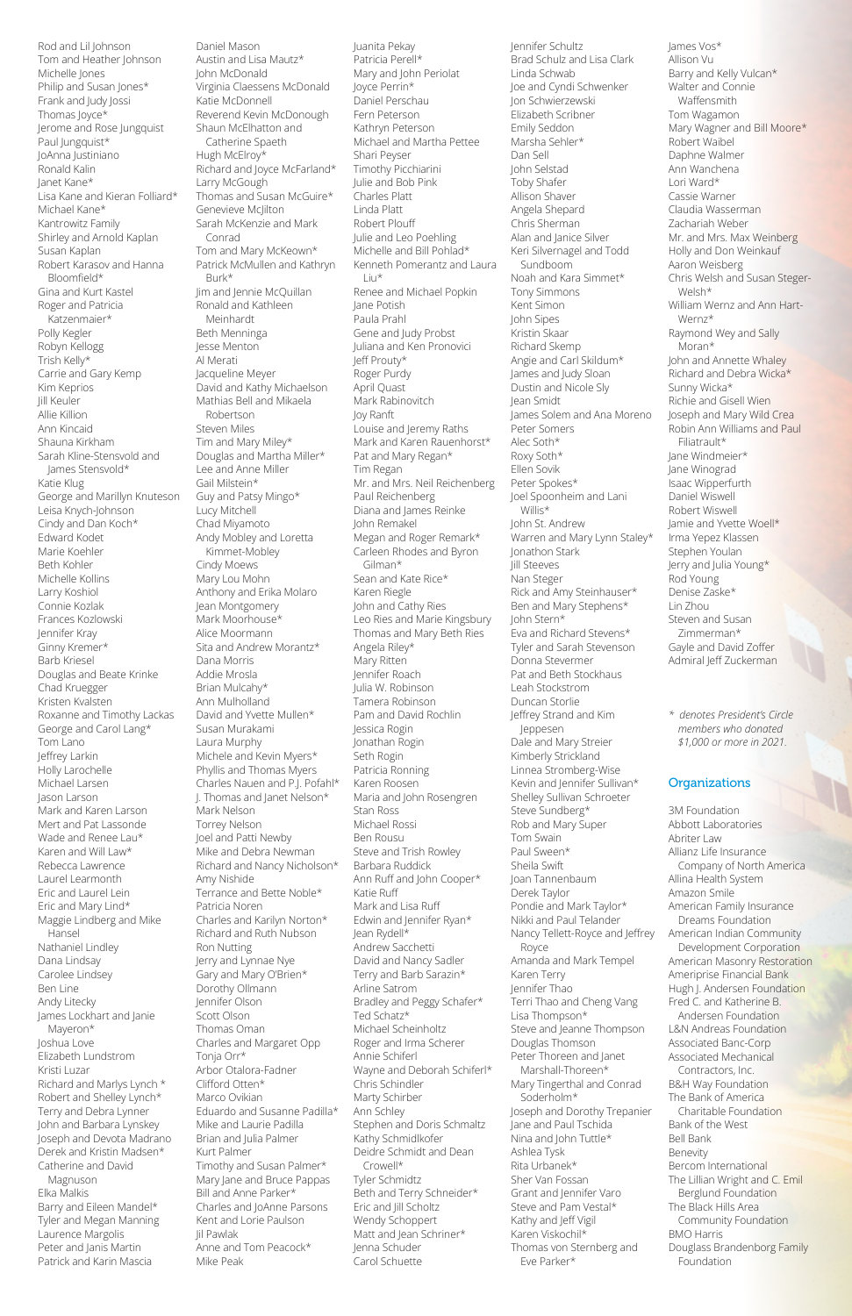Rod and Lil Johnson Tom and Heather Johnson Michelle Jones Philip and Susan Jones\* Frank and Judy Jossi Thomas Joyce\* Jerome and Rose Jungquist Paul Jungquist\* JoAnna Justiniano Ronald Kalin Janet Kane\* Lisa Kane and Kieran Folliard\* Michael Kane\* Kantrowitz Family Shirley and Arnold Kaplan Susan Kaplan Robert Karasov and Hanna Bloomfield\* Gina and Kurt Kastel Roger and Patricia Katzenmaier\* Polly Kegler Robyn Kellogg Trish Kelly\* Carrie and Gary Kemp Kim Keprios Jill Keuler Allie Killion Ann Kincaid Shauna Kirkham Sarah Kline-Stensvold and James Stensvold\* Katie Klug George and Marillyn Knuteson Leisa Knych-Johnson Cindy and Dan Koch\* Edward Kodet Marie Koehler Beth Kohler Michelle Kollins Larry Koshiol Connie Kozlak Frances Kozlowski Jennifer Kray Ginny Kremer\* Barb Kriesel Douglas and Beate Krinke Chad Kruegger Kristen Kvalsten Roxanne and Timothy Lackas George and Carol Lang\* Tom Lano Jeffrey Larkin Holly Larochelle Michael Larsen Jason Larson Mark and Karen Larson Mert and Pat Lassonde Wade and Renee Lau\* Karen and Will Law\* Rebecca Lawrence Laurel Learmonth Eric and Laurel Lein Eric and Mary Lind\* Maggie Lindberg and Mike Hansel Nathaniel Lindley Dana Lindsay Carolee Lindsey Ben Line Andy Litecky James Lockhart and Janie Mayeron\* Joshua Love Elizabeth Lundstrom Kristi Luzar Richard and Marlys Lynch \* Robert and Shelley Lynch\* Terry and Debra Lynner John and Barbara Lynskey Joseph and Devota Madrano Derek and Kristin Madsen\* Catherine and David Magnuson Elka Malkis Barry and Eileen Mandel\* Tyler and Megan Manning Laurence Margolis Peter and Janis Martin Patrick and Karin Mascia

Daniel Mason Austin and Lisa Mautz\* John McDonald Virginia Claessens McDonald Katie McDonnell Reverend Kevin McDonough Shaun McElhatton and Catherine Spaeth Hugh McElroy\* Richard and Joyce McFarland\* Larry McGough Thomas and Susan McGuire\* Genevieve McJilton Sarah McKenzie and Mark Conrad Tom and Mary McKeown\* Patrick McMullen and Kathryn Burk\* Jim and Jennie McQuillan Ronald and Kathleen Meinhardt Beth Menninga Jesse Menton Al Merati Jacqueline Meyer David and Kathy Michaelson Mathias Bell and Mikaela Robertson Steven Miles Tim and Mary Miley\* Douglas and Martha Miller\* Lee and Anne Miller Gail Milstein\* Guy and Patsy Mingo\* Lucy Mitchell Chad Miyamoto Andy Mobley and Loretta Kimmet-Mobley Cindy Moews Mary Lou Mohn Anthony and Erika Molaro Jean Montgomery Mark Moorhouse\* Alice Moormann Sita and Andrew Morantz\* Dana Morris Addie Mrosla Brian Mulcahy\* Ann Mulholland David and Yvette Mullen\* Susan Murakami Laura Murphy Michele and Kevin Myers\* Phyllis and Thomas Myers Charles Nauen and P.J. Pofahl\* J. Thomas and Janet Nelson\* Mark Nelson Torrey Nelson Joel and Patti Newby Mike and Debra Newman Richard and Nancy Nicholson\* Amy Nishide Terrance and Bette Noble\* Patricia Noren Charles and Karilyn Norton\* Richard and Ruth Nubson Ron Nutting Jerry and Lynnae Nye Gary and Mary O'Brien\* Dorothy Ollmann Jennifer Olson Scott Olson Thomas Oman Charles and Margaret Opp Tonja Orr\* Arbor Otalora-Fadner Clifford Otten\* Marco Ovikian Eduardo and Susanne Padilla\* Mike and Laurie Padilla Brian and Julia Palmer Kurt Palmer Timothy and Susan Palmer\* Mary Jane and Bruce Pappas Bill and Anne Parker\* Charles and JoAnne Parsons Kent and Lorie Paulson Jil Pawlak Anne and Tom Peacock\* Mike Peak

Juanita Pekay Patricia Perell\* Mary and John Periolat Joyce Perrin\* Daniel Perschau Fern Peterson Kathryn Peterson Michael and Martha Pettee Shari Peyser Timothy Picchiarini Julie and Bob Pink Charles Platt Linda Platt Robert Plouff Julie and Leo Poehling Michelle and Bill Pohlad\* Kenneth Pomerantz and Laura Liu\* Renee and Michael Popkin Jane Potish Paula Prahl Gene and Judy Probst Juliana and Ken Pronovici Jeff Prouty\* Roger Purdy April Quast Mark Rabinovitch Joy Ranft Louise and Jeremy Raths Mark and Karen Rauenhorst\* Pat and Mary Regan\* Tim Regan Mr. and Mrs. Neil Reichenberg Paul Reichenberg Diana and James Reinke John Remakel Megan and Roger Remark\* Carleen Rhodes and Byron Gilman\* Sean and Kate Rice\* Karen Riegle John and Cathy Ries Leo Ries and Marie Kingsbury Thomas and Mary Beth Ries Angela Riley\* Mary Ritten Jennifer Roach Julia W. Robinson Tamera Robinson Pam and David Rochlin Jessica Rogin Jonathan Rogin Seth Rogin Patricia Ronning Karen Roosen Maria and John Rosengren Stan Ross Michael Rossi Ben Rousu Steve and Trish Rowley Barbara Ruddick Ann Ruff and John Cooper\* Katie Ruff Mark and Lisa Ruff Edwin and Jennifer Ryan\* Jean Rydell\* Andrew Sacchetti David and Nancy Sadler Terry and Barb Sarazin\* Arline Satrom Bradley and Peggy Schafer\* Ted Schatz\* Michael Scheinholtz Roger and Irma Scherer Annie Schiferl Wayne and Deborah Schiferl\* Chris Schindler Marty Schirber Ann Schley Stephen and Doris Schmaltz Kathy Schmidlkofer Deidre Schmidt and Dean Crowell\* Tyler Schmidtz Beth and Terry Schneider\* Eric and Jill Scholtz Wendy Schoppert Matt and Jean Schriner\* Jenna Schuder Carol Schuette

Jennifer Schultz Brad Schulz and Lisa Clark Linda Schwab Joe and Cyndi Schwenker Jon Schwierzewski Elizabeth Scribner Emily Seddon Marsha Sehler\* Dan Sell John Selstad Toby Shafer Allison Shaver Angela Shepard Chris Sherman Alan and Janice Silver Keri Silvernagel and Todd Sundboom Noah and Kara Simmet\* Tony Simmons Kent Simon John Sipes Kristin Skaar Richard Skemp Angie and Carl Skildum\* James and Judy Sloan Dustin and Nicole Sly Jean Smidt James Solem and Ana Moreno Peter Somers Alec Soth\* Roxy Soth\* Ellen Sovik Peter Spokes\* Joel Spoonheim and Lani Willis\* John St. Andrew Warren and Mary Lynn Staley\* Jonathon Stark Jill Steeves Nan Steger Rick and Amy Steinhauser\* Ben and Mary Stephens\* John Stern\* Eva and Richard Stevens\* Tyler and Sarah Stevenson Donna Stevermer Pat and Beth Stockhaus Leah Stockstrom Duncan Storlie Jeffrey Strand and Kim Jeppesen Dale and Mary Streier Kimberly Strickland Linnea Stromberg-Wise Kevin and Jennifer Sullivan\* Shelley Sullivan Schroeter Steve Sundberg\* Rob and Mary Super Tom Swain Paul Sween\* Sheila Swift Joan Tannenbaum Derek Taylor Pondie and Mark Taylor\* Nikki and Paul Telander Nancy Tellett-Royce and Jeffrey Royce Amanda and Mark Tempel Karen Terry Jennifer Thao Terri Thao and Cheng Vang Lisa Thompson\* Steve and Jeanne Thompson Douglas Thomson Peter Thoreen and Janet Marshall-Thoreen\* Mary Tingerthal and Conrad Soderholm\* Joseph and Dorothy Trepanier Jane and Paul Tschida Nina and John Tuttle\* Ashlea Tysk Rita Urbanek\* Sher Van Fossan Grant and Jennifer Varo Steve and Pam Vestal\* Kathy and Jeff Vigil Karen Viskochil\* Thomas von Sternberg and Eve Parker\*

James Vos\* Allison Vu Barry and Kelly Vulcan\* Walter and Connie Waffensmith Tom Wagamon Mary Wagner and Bill Moore\* Robert Waibel Daphne Walmer Ann Wanchena Lori Ward\* Cassie Warner Claudia Wasserman Zachariah Weber Mr. and Mrs. Max Weinberg Holly and Don Weinkauf Aaron Weisberg Chris Welsh and Susan Steger-Welsh\* William Wernz and Ann Hart-Wernz\* Raymond Wey and Sally Moran\* John and Annette Whaley Richard and Debra Wicka\* Sunny Wicka\* Richie and Gisell Wien Joseph and Mary Wild Crea Robin Ann Williams and Paul Filiatrault\* Jane Windmeier\* Jane Winograd Isaac Wipperfurth Daniel Wiswell Robert Wiswell Jamie and Yvette Woell\* Irma Yepez Klassen Stephen Youlan Jerry and Julia Young\* Rod Young Denise Zaske\* Lin Zhou Steven and Susan Zimmerman\* Gayle and David Zoffer Admiral Jeff Zuckerman

*\* denotes President's Circle members who donated \$1,000 or more in 2021.*

# **Organizations**

3M Foundation Abbott Laboratories Abriter Law Allianz Life Insurance Company of North America Allina Health System Amazon Smile American Family Insurance Dreams Foundation American Indian Community Development Corporation American Masonry Restoration Ameriprise Financial Bank Hugh J. Andersen Foundation Fred C. and Katherine B. Andersen Foundation L&N Andreas Foundation Associated Banc-Corp Associated Mechanical Contractors, Inc. B&H Way Foundation The Bank of America Charitable Foundation Bank of the West Bell Bank Benevity Bercom International The Lillian Wright and C. Emil Berglund Foundation The Black Hills Area Community Foundation BMO Harris Douglass Brandenborg Family Foundation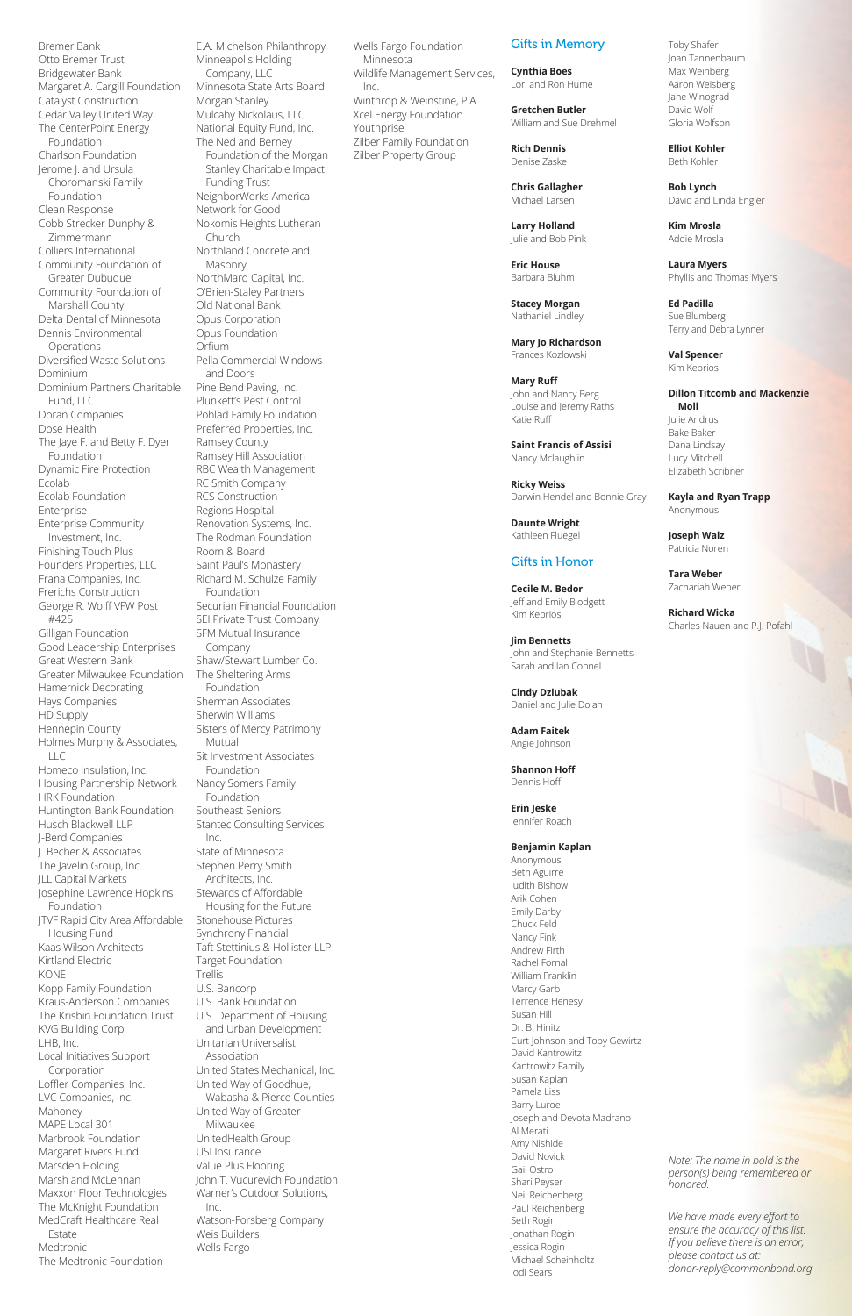*We have made every effort to ensure the accuracy of this list. If you believe there is an error, please contact us at: donor-reply@commonbond.org*

Bremer Bank Otto Bremer Trust Bridgewater Bank Margaret A. Cargill Foundation Catalyst Construction Cedar Valley United Way The CenterPoint Energy Foundation Charlson Foundation Jerome J. and Ursula Choromanski Family Foundation Clean Response Cobb Strecker Dunphy & Zimmermann Colliers International Community Foundation of Greater Dubuque Community Foundation of Marshall County Delta Dental of Minnesota Dennis Environmental Operations Diversified Waste Solutions Dominium Dominium Partners Charitable Fund, LLC Doran Companies Dose Health The Jaye F. and Betty F. Dyer Foundation Dynamic Fire Protection Ecolab Ecolab Foundation Enterprise Enterprise Community Investment, Inc. Finishing Touch Plus Founders Properties, LLC Frana Companies, Inc. Frerichs Construction George R. Wolff VFW Post #425 Gilligan Foundation Good Leadership Enterprises Great Western Bank Greater Milwaukee Foundation Hamernick Decorating Hays Companies HD Supply Hennepin County Holmes Murphy & Associates, LLC Homeco Insulation, Inc. Housing Partnership Network HRK Foundation Huntington Bank Foundation Husch Blackwell LLP J-Berd Companies J. Becher & Associates The Javelin Group, Inc. JLL Capital Markets Josephine Lawrence Hopkins Foundation JTVF Rapid City Area Affordable Housing Fund Kaas Wilson Architects Kirtland Electric KONE Kopp Family Foundation Kraus-Anderson Companies The Krisbin Foundation Trust KVG Building Corp LHB, Inc. Local Initiatives Support Corporation Loffler Companies, Inc. LVC Companies, Inc. Mahoney MAPE Local 301 Marbrook Foundation Margaret Rivers Fund Marsden Holding Marsh and McLennan Maxxon Floor Technologies The McKnight Foundation MedCraft Healthcare Real Estate Medtronic The Medtronic Foundation

E.A. Michelson Philanthropy Minneapolis Holding Company, LLC Minnesota State Arts Board Morgan Stanley Mulcahy Nickolaus, LLC National Equity Fund, Inc. The Ned and Berney Foundation of the Morgan Stanley Charitable Impact Funding Trust NeighborWorks America Network for Good Nokomis Heights Lutheran Church Northland Concrete and Masonry NorthMarq Capital, Inc. O'Brien-Staley Partners Old National Bank Opus Corporation Opus Foundation Orfium Pella Commercial Windows and Doors Pine Bend Paving, Inc. Plunkett's Pest Control Pohlad Family Foundation Preferred Properties, Inc. Ramsey County Ramsey Hill Association RBC Wealth Management RC Smith Company RCS Construction Regions Hospital Renovation Systems, Inc. The Rodman Foundation Room & Board Saint Paul's Monastery Richard M. Schulze Family Foundation Securian Financial Foundation SEI Private Trust Company SFM Mutual Insurance Company Shaw/Stewart Lumber Co. The Sheltering Arms Foundation Sherman Associates Sherwin Williams Sisters of Mercy Patrimony Mutual Sit Investment Associates Foundation Nancy Somers Family Foundation Southeast Seniors Stantec Consulting Services Inc. State of Minnesota Stephen Perry Smith Architects, Inc. Stewards of Affordable Housing for the Future Stonehouse Pictures Synchrony Financial Taft Stettinius & Hollister LLP Target Foundation Trellis U.S. Bancorp U.S. Bank Foundation U.S. Department of Housing and Urban Development Unitarian Universalist Association United States Mechanical, Inc. United Way of Goodhue, Wabasha & Pierce Counties United Way of Greater Milwaukee UnitedHealth Group USI Insurance Value Plus Flooring John T. Vucurevich Foundation Warner's Outdoor Solutions, Inc. Watson-Forsberg Company Weis Builders Wells Fargo

Wells Fargo Foundation Minnesota Wildlife Management Services, Inc. Winthrop & Weinstine, P.A. Xcel Energy Foundation Youthprise Zilber Family Foundation Zilber Property Group

### Gifts in Memory

**Cynthia Boes** Lori and Ron Hume

**Gretchen Butler** William and Sue Drehmel

**Rich Dennis** Denise Zaske

**Chris Gallagher** Michael Larsen

**Larry Holland** Julie and Bob Pink

**Eric House** Barbara Bluhm

**Stacey Morgan** Nathaniel Lindley

**Mary Jo Richardson** Frances Kozlowski

**Mary Ruff** John and Nancy Berg Louise and Jeremy Raths Katie Ruff

**Saint Francis of Assisi** Nancy Mclaughlin

**Ricky Weiss** Darwin Hendel and Bonnie Gray

**Daunte Wright** Kathleen Fluegel

# Gifts in Honor

**Cecile M. Bedor** Jeff and Emily Blodgett Kim Keprios

**Jim Bennetts** John and Stephanie Bennetts Sarah and Ian Connel

**Cindy Dziubak** Daniel and Julie Dolan

**Adam Faitek** Angie Johnson

**Shannon Hoff** Dennis Hoff

**Erin Jeske** Jennifer Roach

**Benjamin Kaplan** Anonymous Beth Aguirre Judith Bishow Arik Cohen Emily Darby Chuck Feld Nancy Fink Andrew Firth Rachel Fornal

William Franklin Marcy Garb Terrence Henesy Susan Hill Dr. B. Hinitz Curt Johnson and Toby Gewirtz David Kantrowitz Kantrowitz Family Susan Kaplan Pamela Liss Barry Luroe Joseph and Devota Madrano Al Merati Amy Nishide David Novick Gail Ostro Shari Peyser Neil Reichenberg Paul Reichenberg Seth Rogin Jonathan Rogin Jessica Rogin Michael Scheinholtz Jodi Sears

Toby Shafer Joan Tannenbaum Max Weinberg Aaron Weisberg Jane Winograd David Wolf Gloria Wolfson

**Elliot Kohler** Beth Kohler

**Bob Lynch** David and Linda Engler

**Kim Mrosla** Addie Mrosla

**Laura Myers** Phyllis and Thomas Myers

**Ed Padilla** Sue Blumberg Terry and Debra Lynner

**Val Spencer** Kim Keprios

**Dillon Titcomb and Mackenzie Moll** Julie Andrus Bake Baker Dana Lindsay Lucy Mitchell

Elizabeth Scribner

**Kayla and Ryan Trapp** Anonymous

**Joseph Walz** Patricia Noren

**Tara Weber** Zachariah Weber

**Richard Wicka** Charles Nauen and P.J. Pofahl

*Note: The name in bold is the person(s) being remembered or honored.*